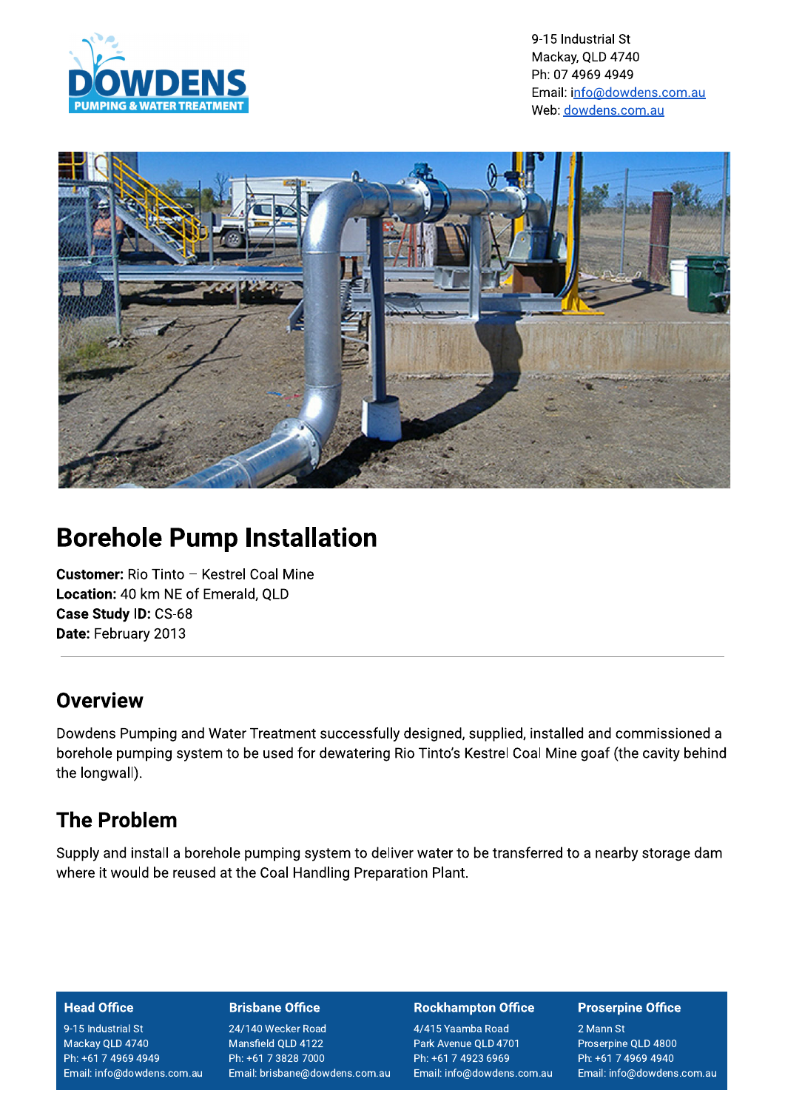

9-15 Industrial St Mackay, QLD 4740 Ph: 07 4969 4949 Email: info@dowdens.com.au Web: dowdens.com.au



# **Borehole Pump Installation**

**Customer: Rio Tinto - Kestrel Coal Mine** Location: 40 km NE of Emerald, QLD Case Study ID: CS-68 Date: February 2013

### **Overview**

Dowdens Pumping and Water Treatment successfully designed, supplied, installed and commissioned a borehole pumping system to be used for dewatering Rio Tinto's Kestrel Coal Mine goaf (the cavity behind the longwall).

## **The Problem**

Supply and install a borehole pumping system to deliver water to be transferred to a nearby storage dam where it would be reused at the Coal Handling Preparation Plant.

### **Head Office**

9-15 Industrial St Mackay QLD 4740 Ph: +61 7 4969 4949 Email: info@dowdens.com.au

### **Brisbane Office**

24/140 Wecker Road Mansfield QLD 4122 Ph: +61 7 3828 7000 Email: brisbane@dowdens.com.au

#### **Rockhampton Office**

4/415 Yaamba Road Park Avenue QLD 4701 Ph: +61 7 4923 6969 Email: info@dowdens.com.au

### **Proserpine Office**

2 Mann St Proserpine QLD 4800 Ph: +61 7 4969 4940 Email: info@dowdens.com.au